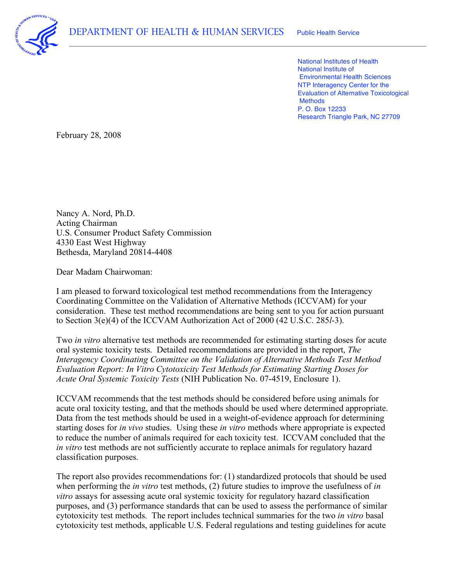

 National Institutes of Health National Institute of Environmental Health Sciences NTP Interagency Center for the Evaluation of Alternative Toxicological P. O. Box 12233 Research Triangle Park, NC 27709 **Methods** 

February 28, 2008

 Nancy A. Nord, Ph.D. U.S. Consumer Product Safety Commission 4330 East West Highway Acting Chairman Bethesda, Maryland 20814-4408

Dear Madam Chairwoman:

 I am pleased to forward toxicological test method recommendations from the Interagency Coordinating Committee on the Validation of Alternative Methods (ICCVAM) for your consideration. These test method recommendations are being sent to you for action pursuant to Section 3(e)(4) of the ICCVAM Authorization Act of 2000 (42 U.S.C. 285*l*-3).

 Two *in vitro* alternative test methods are recommended for estimating starting doses for acute oral systemic toxicity tests. Detailed recommendations are provided in the report, *The Interagency Coordinating Committee on the Validation of Alternative Methods Test Method Evaluation Report: In Vitro Cytotoxicity Test Methods for Estimating Starting Doses for Acute Oral Systemic Toxicity Tests* (NIH Publication No. 07-4519, Enclosure 1).

 ICCVAM recommends that the test methods should be considered before using animals for acute oral toxicity testing, and that the methods should be used where determined appropriate. Data from the test methods should be used in a weight-of-evidence approach for determining starting doses for *in vivo* studies. Using these *in vitro* methods where appropriate is expected to reduce the number of animals required for each toxicity test. ICCVAM concluded that the *in vitro* test methods are not sufficiently accurate to replace animals for regulatory hazard classification purposes.

 The report also provides recommendations for: (1) standardized protocols that should be used when performing the *in vitro* test methods, (2) future studies to improve the usefulness of *in vitro* assays for assessing acute oral systemic toxicity for regulatory hazard classification purposes, and (3) performance standards that can be used to assess the performance of similar cytotoxicity test methods. The report includes technical summaries for the two *in vitro* basal cytotoxicity test methods, applicable U.S. Federal regulations and testing guidelines for acute